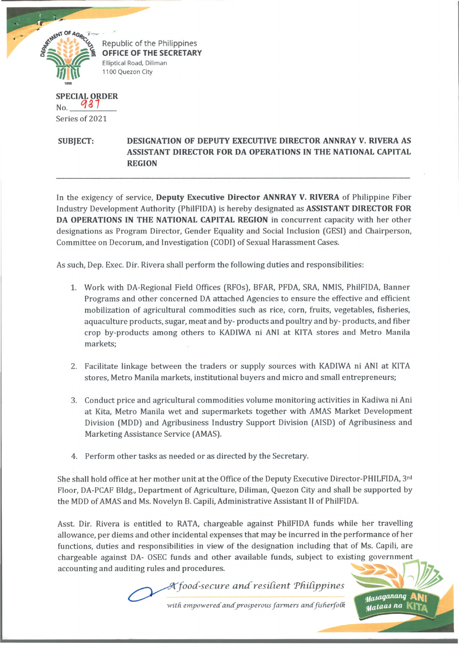

Republic of the Philippines **OFFICE OF THE SECRETARY** Elliptical Road, Diliman 1100 Quezon City

**SPECIAL ORDER \L OR! w**  $N<sub>0</sub>$ Series of 2021

## **SUBJECT: DESIGNATION OF DEPUTY EXECUTIVE DIRECTOR ANNRAY V. RIVERA AS ASSISTANT DIRECTOR FOR DA OPERATIONS IN THE NATIONAL CAPITAL REGION**

In the exigency of service, **Deputy Executive Director ANNRAY V. RIVERA** of Philippine Fiber Industry Development Authority (PhilFIDA) is hereby designated as **ASSISTANT DIRECTOR FOR DA OPERATIONS IN THE NATIONAL CAPITAL REGION** in concurrent capacity with her other designations as Program Director, Gender Equality and Social Inclusion (GESI) and Chairperson, Committee on Decorum, and Investigation (CODI) of Sexual Harassment Cases.

As such, Dep. Exec. Dir. Rivera shall perform the following duties and responsibilities:

- 1. Work with DA-Regional Field Offices (RFOs], BFAR, PFDA, SRA, NMIS, PhilFIDA, Banner Programs and other concerned DA attached Agencies to ensure the effective and efficient mobilization of agricultural commodities such as rice, corn, fruits, vegetables, fisheries, aquaculture products, sugar, meat and by- products and poultry and by- products, and fiber crop by-products among others to KADIWA ni ANI at KITA stores and Metro Manila markets;
- 2. Facilitate linkage between the traders or supply sources with KADIWA ni ANI at KITA stores, Metro Manila markets, institutional buyers and micro and small entrepreneurs;
- 3. Conduct price and agricultural commodities volume monitoring activities in Kadiwa ni Ani at Kita, Metro Manila wet and supermarkets together with AMAS Market Development Division (MDD) and Agribusiness Industry Support Division (AISD) of Agribusiness and Marketing Assistance Service (AMAS).
- 4. Perform other tasks as needed or as directed by the Secretary.

She shall hold office at her mother unit at the Office of the Deputy Executive Director-PHILFIDA, 3rd Floor, DA-PCAF Bldg., Department of Agriculture, Diliman, Quezon City and shall be supported by the MDD of AMAS and Ms. Novelyn B. Capili, Administrative Assistant II of PhilFIDA.

Asst. Dir. Rivera is entitled to RATA, chargeable against PhilFIDA funds while her travelling allowance, per diems and other incidental expenses that may be incurred in the performance of her functions, duties and responsibilities in view of the designation including that of Ms. Capili, are chargeable against DA- OSEC funds and other available funds, subject to existing government accounting and auditing rules and procedures.

> with empowered and prosperous farmers and fisherfolk *food-secure a n d resident Tftidpjpines*